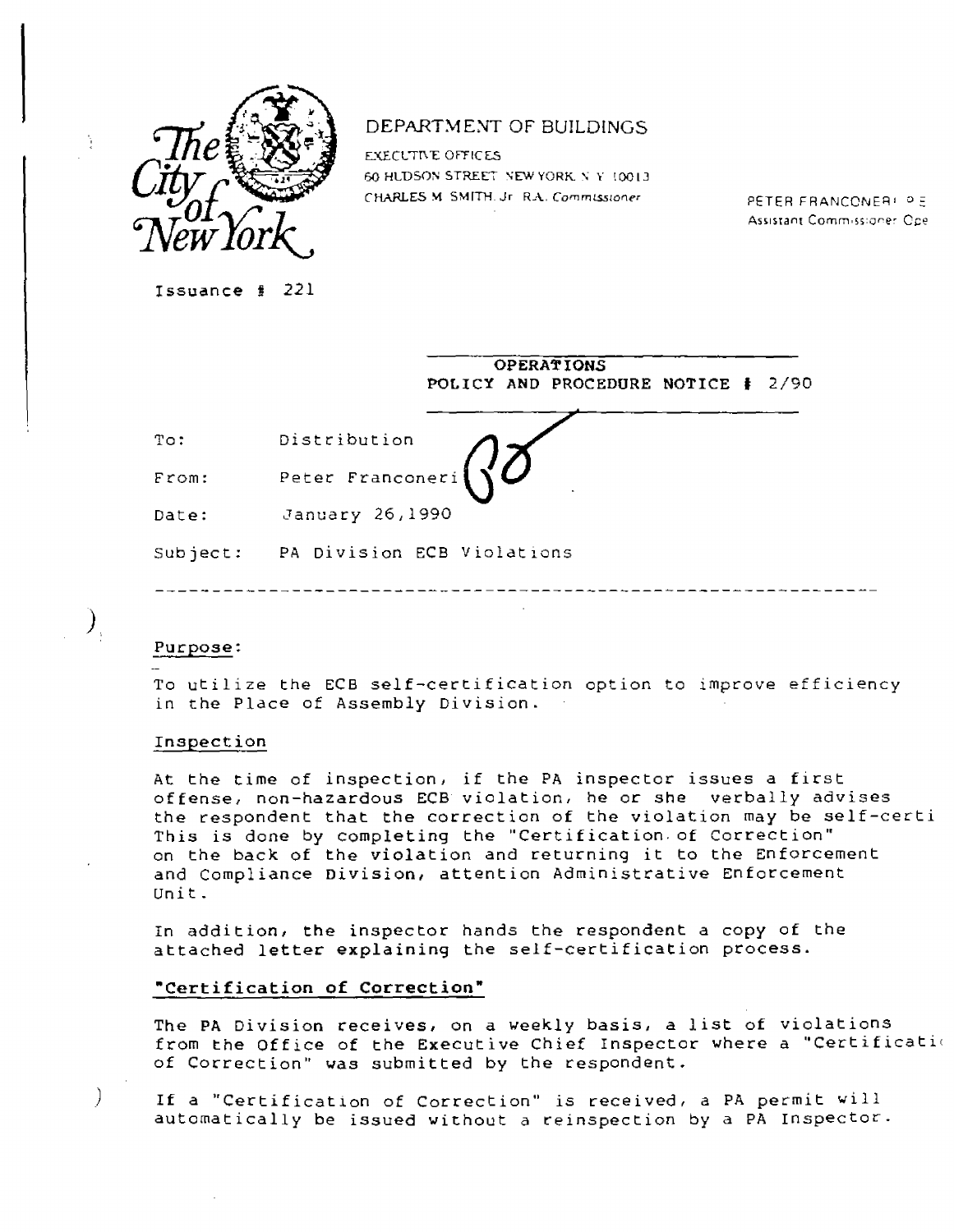

# DEPARTMENT OF BUILDINGS

EXECUTIVE OFFICES 60 HUDSON STREET NEW YORK, NY 10013 CHARLES M. SMITH. Jr. R.A. Commissioner PETER FRANCONER P. P.

Assistant Commissioner Ope-

Issuance # 221

|          | <b>OPERATIONS</b>                                          |
|----------|------------------------------------------------------------|
|          | POLICY AND PROCEDURE NOTICE #<br>-2790                     |
| To:      | Distribution                                               |
| From:    | Peter Franconeri $\left( \sqrt{\frac{\rho}{\rho}} \right)$ |
| Date:    | January 26,1990                                            |
| Subject: | PA Division ECB Violations                                 |
|          |                                                            |
|          |                                                            |

### Purpose:

 $\bm{\lambda}_i$ 

 $\big)$ 

To utilize the ECB self-certification option to improve efficiency in the Place of Assembly Division.

### Inspection

At the time of inspection, if the PA inspector issues a first offense, non-hazardous ECB violation, he or she verbally advises the respondent that the correction of the violation may be self-certi This is done by completing the "Certification of Correction" on the back of the violation and returning it to the Enforcement and Compliance Division, attention Administrative Enforcement Unit.

In addition, the inspector hands the respondent a copy of the attached letter explaining the self-certification process.

### **"Certification of Correction"**

The PA Division receives, on a weekly basis, a list of violations from the Office of the Executive Chief Inspector where a "Certification of Correction" was submitted by the respondent.

If a "Certification of Correction" is received, a PA permit will automatically be issued without a reinspection by a PA Inspector.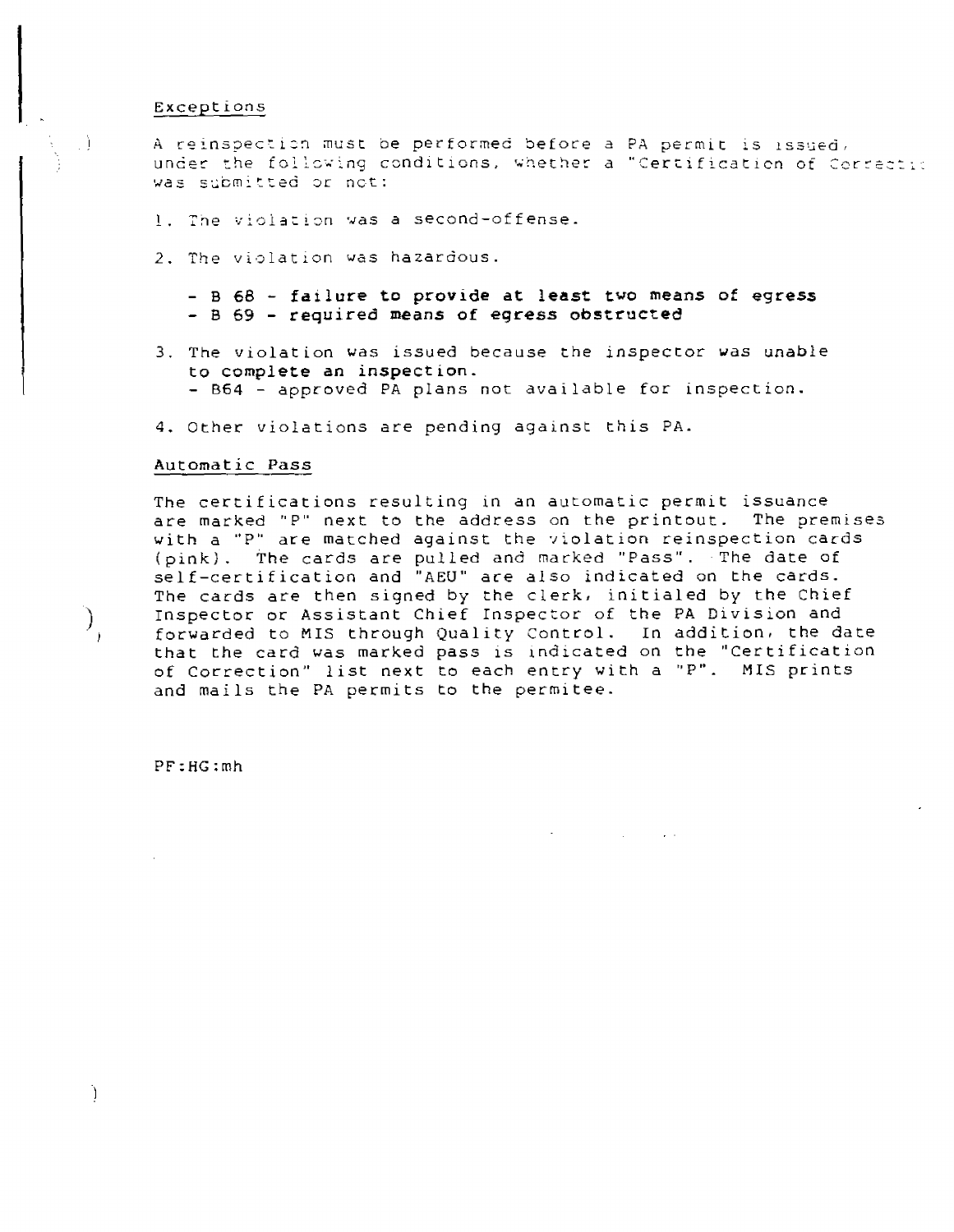#### Exceptions

.)

 $\big)_{j}$ 

Ĵ.

A reinspection must be performed before a PA permit is issued, under the following conditions, whether a "Certification of Correction was submitted or not:

- 1. The violation was a second-offense.
- 2. The violation was hazardous.

**- B 68 - failure to provide at least two means of egress - B 69 - required means of egress obstructed** 

- 3. The violation was issued because the inspector was unable **to complete an inspection.**  - B64 - approved PA plans not available for inspection.
- 4. Other violations are pending against this PA.

#### Automatic Pass

The certifications resulting in an automatic permit issuance are marked "P" next to the address on the printout. The premises with a "P" are matched against the violation reinspection cards (pink). The cards are pulled and marked "Pass". The date of self-certification and "AEU" ace also indicated on the cards. The cards are then signed by the clerk, initialed by the Chief Inspector or Assistant Chief Inspector of the PA Division and forwarded to MIS through Quality Control. In addition, the date that the card was marked pass is indicated on the "Certification of Correction" list next to each entry with a "P". MIS prints and mails the PA permits to the permitee.

PF:HG:mh